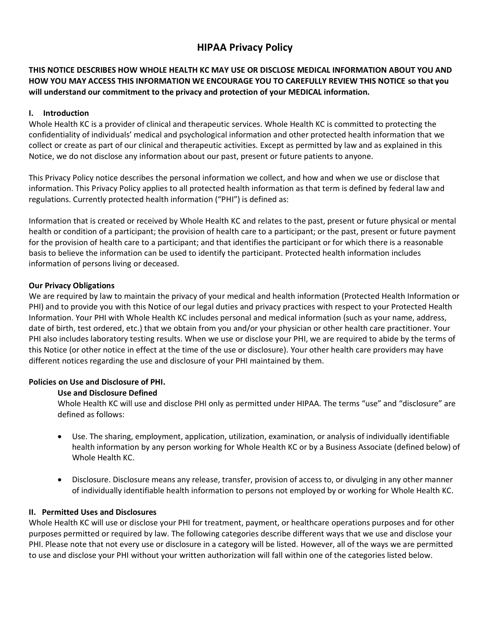# **HIPAA Privacy Policy**

## **THIS NOTICE DESCRIBES HOW WHOLE HEALTH KC MAY USE OR DISCLOSE MEDICAL INFORMATION ABOUT YOU AND HOW YOU MAY ACCESS THIS INFORMATION WE ENCOURAGE YOU TO CAREFULLY REVIEW THIS NOTICE so that you will understand our commitment to the privacy and protection of your MEDICAL information.**

## **I. Introduction**

Whole Health KC is a provider of clinical and therapeutic services. Whole Health KC is committed to protecting the confidentiality of individuals' medical and psychological information and other protected health information that we collect or create as part of our clinical and therapeutic activities. Except as permitted by law and as explained in this Notice, we do not disclose any information about our past, present or future patients to anyone.

This Privacy Policy notice describes the personal information we collect, and how and when we use or disclose that information. This Privacy Policy applies to all protected health information as that term is defined by federal law and regulations. Currently protected health information ("PHI") is defined as:

Information that is created or received by Whole Health KC and relates to the past, present or future physical or mental health or condition of a participant; the provision of health care to a participant; or the past, present or future payment for the provision of health care to a participant; and that identifies the participant or for which there is a reasonable basis to believe the information can be used to identify the participant. Protected health information includes information of persons living or deceased.

## **Our Privacy Obligations**

We are required by law to maintain the privacy of your medical and health information (Protected Health Information or PHI) and to provide you with this Notice of our legal duties and privacy practices with respect to your Protected Health Information. Your PHI with Whole Health KC includes personal and medical information (such as your name, address, date of birth, test ordered, etc.) that we obtain from you and/or your physician or other health care practitioner. Your PHI also includes laboratory testing results. When we use or disclose your PHI, we are required to abide by the terms of this Notice (or other notice in effect at the time of the use or disclosure). Your other health care providers may have different notices regarding the use and disclosure of your PHI maintained by them.

#### **Policies on Use and Disclosure of PHI.**

#### **Use and Disclosure Defined**

Whole Health KC will use and disclose PHI only as permitted under HIPAA. The terms "use" and "disclosure" are defined as follows:

- Use. The sharing, employment, application, utilization, examination, or analysis of individually identifiable health information by any person working for Whole Health KC or by a Business Associate (defined below) of Whole Health KC.
- Disclosure. Disclosure means any release, transfer, provision of access to, or divulging in any other manner of individually identifiable health information to persons not employed by or working for Whole Health KC.

#### **II. Permitted Uses and Disclosures**

Whole Health KC will use or disclose your PHI for treatment, payment, or healthcare operations purposes and for other purposes permitted or required by law. The following categories describe different ways that we use and disclose your PHI. Please note that not every use or disclosure in a category will be listed. However, all of the ways we are permitted to use and disclose your PHI without your written authorization will fall within one of the categories listed below.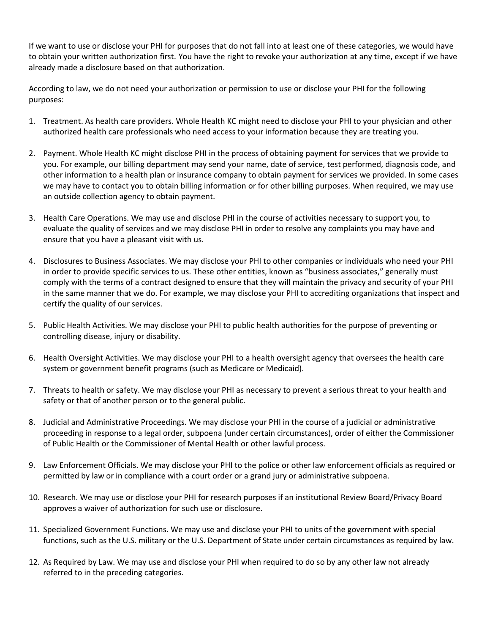If we want to use or disclose your PHI for purposes that do not fall into at least one of these categories, we would have to obtain your written authorization first. You have the right to revoke your authorization at any time, except if we have already made a disclosure based on that authorization.

According to law, we do not need your authorization or permission to use or disclose your PHI for the following purposes:

- 1. Treatment. As health care providers. Whole Health KC might need to disclose your PHI to your physician and other authorized health care professionals who need access to your information because they are treating you.
- 2. Payment. Whole Health KC might disclose PHI in the process of obtaining payment for services that we provide to you. For example, our billing department may send your name, date of service, test performed, diagnosis code, and other information to a health plan or insurance company to obtain payment for services we provided. In some cases we may have to contact you to obtain billing information or for other billing purposes. When required, we may use an outside collection agency to obtain payment.
- 3. Health Care Operations. We may use and disclose PHI in the course of activities necessary to support you, to evaluate the quality of services and we may disclose PHI in order to resolve any complaints you may have and ensure that you have a pleasant visit with us.
- 4. Disclosures to Business Associates. We may disclose your PHI to other companies or individuals who need your PHI in order to provide specific services to us. These other entities, known as "business associates," generally must comply with the terms of a contract designed to ensure that they will maintain the privacy and security of your PHI in the same manner that we do. For example, we may disclose your PHI to accrediting organizations that inspect and certify the quality of our services.
- 5. Public Health Activities. We may disclose your PHI to public health authorities for the purpose of preventing or controlling disease, injury or disability.
- 6. Health Oversight Activities. We may disclose your PHI to a health oversight agency that oversees the health care system or government benefit programs (such as Medicare or Medicaid).
- 7. Threats to health or safety. We may disclose your PHI as necessary to prevent a serious threat to your health and safety or that of another person or to the general public.
- 8. Judicial and Administrative Proceedings. We may disclose your PHI in the course of a judicial or administrative proceeding in response to a legal order, subpoena (under certain circumstances), order of either the Commissioner of Public Health or the Commissioner of Mental Health or other lawful process.
- 9. Law Enforcement Officials. We may disclose your PHI to the police or other law enforcement officials as required or permitted by law or in compliance with a court order or a grand jury or administrative subpoena.
- 10. Research. We may use or disclose your PHI for research purposes if an institutional Review Board/Privacy Board approves a waiver of authorization for such use or disclosure.
- 11. Specialized Government Functions. We may use and disclose your PHI to units of the government with special functions, such as the U.S. military or the U.S. Department of State under certain circumstances as required by law.
- 12. As Required by Law. We may use and disclose your PHI when required to do so by any other law not already referred to in the preceding categories.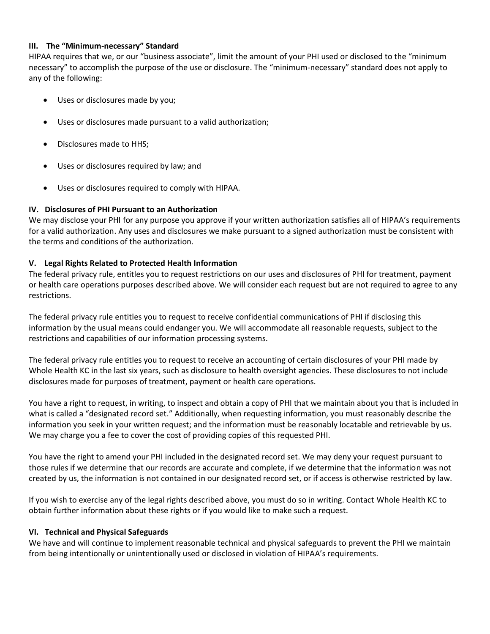#### **III. The "Minimum-necessary" Standard**

HIPAA requires that we, or our "business associate", limit the amount of your PHI used or disclosed to the "minimum necessary" to accomplish the purpose of the use or disclosure. The "minimum-necessary" standard does not apply to any of the following:

- Uses or disclosures made by you;
- Uses or disclosures made pursuant to a valid authorization;
- Disclosures made to HHS;
- Uses or disclosures required by law; and
- Uses or disclosures required to comply with HIPAA.

#### **IV. Disclosures of PHI Pursuant to an Authorization**

We may disclose your PHI for any purpose you approve if your written authorization satisfies all of HIPAA's requirements for a valid authorization. Any uses and disclosures we make pursuant to a signed authorization must be consistent with the terms and conditions of the authorization.

#### **V. Legal Rights Related to Protected Health Information**

The federal privacy rule, entitles you to request restrictions on our uses and disclosures of PHI for treatment, payment or health care operations purposes described above. We will consider each request but are not required to agree to any restrictions.

The federal privacy rule entitles you to request to receive confidential communications of PHI if disclosing this information by the usual means could endanger you. We will accommodate all reasonable requests, subject to the restrictions and capabilities of our information processing systems.

The federal privacy rule entitles you to request to receive an accounting of certain disclosures of your PHI made by Whole Health KC in the last six years, such as disclosure to health oversight agencies. These disclosures to not include disclosures made for purposes of treatment, payment or health care operations.

You have a right to request, in writing, to inspect and obtain a copy of PHI that we maintain about you that is included in what is called a "designated record set." Additionally, when requesting information, you must reasonably describe the information you seek in your written request; and the information must be reasonably locatable and retrievable by us. We may charge you a fee to cover the cost of providing copies of this requested PHI.

You have the right to amend your PHI included in the designated record set. We may deny your request pursuant to those rules if we determine that our records are accurate and complete, if we determine that the information was not created by us, the information is not contained in our designated record set, or if access is otherwise restricted by law.

If you wish to exercise any of the legal rights described above, you must do so in writing. Contact Whole Health KC to obtain further information about these rights or if you would like to make such a request.

#### **VI. Technical and Physical Safeguards**

We have and will continue to implement reasonable technical and physical safeguards to prevent the PHI we maintain from being intentionally or unintentionally used or disclosed in violation of HIPAA's requirements.